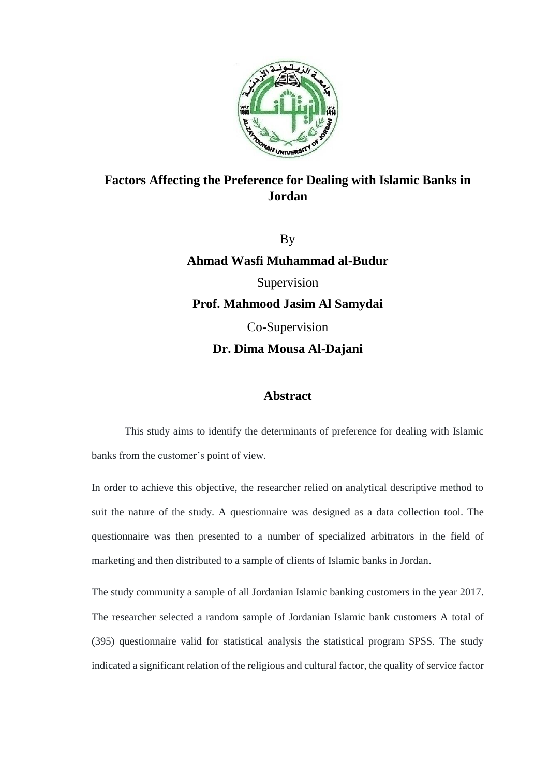

## **Factors Affecting the Preference for Dealing with Islamic Banks in Jordan**

By

**Ahmad Wasfi Muhammad al-Budur** Supervision **Prof. Mahmood Jasim Al Samydai** Co-Supervision **Dr. Dima Mousa Al-Dajani**

## **Abstract**

This study aims to identify the determinants of preference for dealing with Islamic banks from the customer's point of view.

In order to achieve this objective, the researcher relied on analytical descriptive method to suit the nature of the study. A questionnaire was designed as a data collection tool. The questionnaire was then presented to a number of specialized arbitrators in the field of marketing and then distributed to a sample of clients of Islamic banks in Jordan.

The study community a sample of all Jordanian Islamic banking customers in the year 2017. The researcher selected a random sample of Jordanian Islamic bank customers A total of (395) questionnaire valid for statistical analysis the statistical program SPSS. The study indicated a significant relation of the religious and cultural factor, the quality of service factor